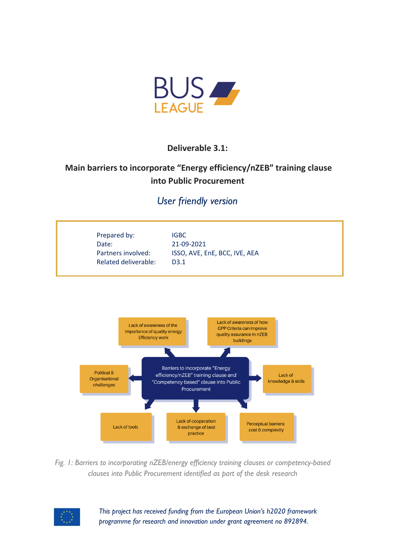

**Deliverable 3.1:**

# **Main barriers to incorporate "Energy efficiency/nZEB" training clause into Public Procurement**

## *User friendly version*





*Fig. 1: Barriers to incorporating nZEB/energy efficiency training clauses or competency-based clauses into Public Procurement identified as part of the desk research*



*This project has received funding from the European Union's h2020 framework programme for research and innovation under grant agreement no 892894.*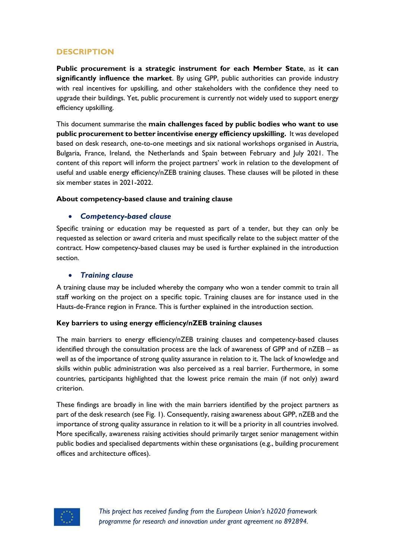## **DESCRIPTION**

**Public procurement is a strategic instrument for each Member State**, as **it can significantly influence the market**. By using GPP, public authorities can provide industry with real incentives for upskilling, and other stakeholders with the confidence they need to upgrade their buildings. Yet, public procurement is currently not widely used to support energy efficiency upskilling.

This document summarise the **main challenges faced by public bodies who want to use public procurement to better incentivise energy efficiency upskilling.** It was developed based on desk research, one-to-one meetings and six national workshops organised in Austria, Bulgaria, France, Ireland, the Netherlands and Spain between February and July 2021. The content of this report will inform the project partners' work in relation to the development of useful and usable energy efficiency/nZEB training clauses. These clauses will be piloted in these six member states in 2021-2022.

#### **About competency-based clause and training clause**

#### • *Competency-based clause*

Specific training or education may be requested as part of a tender, but they can only be requested as selection or award criteria and must specifically relate to the subject matter of the contract. How competency-based clauses may be used is further explained in the introduction section.

#### • *Training clause*

A training clause may be included whereby the company who won a tender commit to train all staff working on the project on a specific topic. Training clauses are for instance used in the Hauts-de-France region in France. This is further explained in the introduction section.

#### **Key barriers to using energy efficiency/nZEB training clauses**

The main barriers to energy efficiency/nZEB training clauses and competency-based clauses identified through the consultation process are the lack of awareness of GPP and of nZEB – as well as of the importance of strong quality assurance in relation to it. The lack of knowledge and skills within public administration was also perceived as a real barrier. Furthermore, in some countries, participants highlighted that the lowest price remain the main (if not only) award criterion.

These findings are broadly in line with the main barriers identified by the project partners as part of the desk research (see Fig. 1). Consequently, raising awareness about GPP, nZEB and the importance of strong quality assurance in relation to it will be a priority in all countries involved. More specifically, awareness raising activities should primarily target senior management within public bodies and specialised departments within these organisations (e.g., building procurement offices and architecture offices).